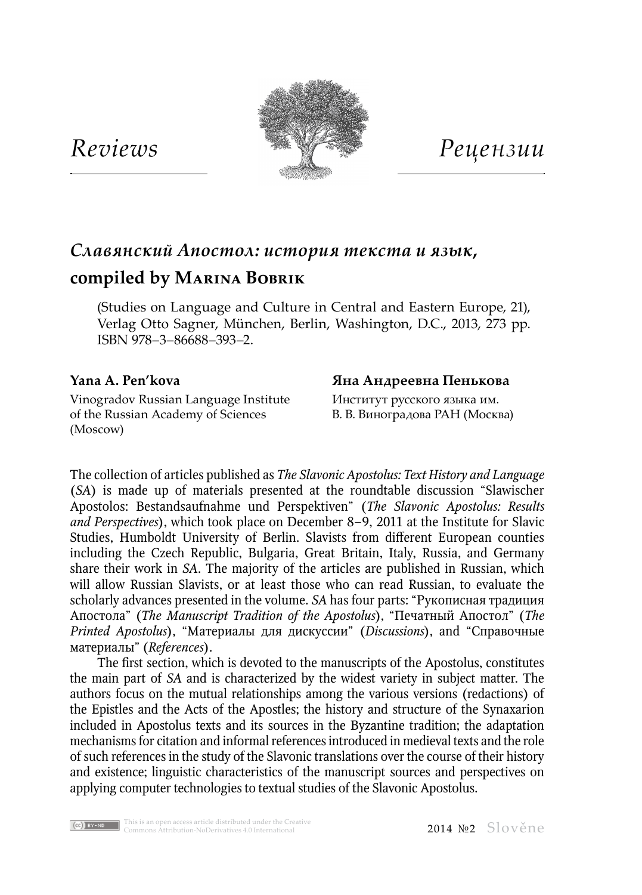

# *Славянский Апостол: история текста и язык***,**

# **compiled by MARINA BOBRIK**

(Studies on Language and Culture in Central and Eastern Europe, 21), Verlag Otto Sagner, Μünchen, Berlin, Washington, D.C., 2013, 273 pp. ISBN 978–3–86688–393–2.

## **Yana A. Pen'kova**

Vinogradov Russian Language Institute of the Russian Academy of Sciences (Moscow)

## **Яна Андреевна Пенькова**

Институт русского языка им. В. В. Виноградова РАН (Москва)

The collection of articles published as *The Slavonic Apostolus: Text History and Language* (*SA*) is made up of materials presented at the roundtable discussion "Slawischer Apostolos: Bestandsaufnahme und Perspektiven" (*The Slavonic Apostolus: Results and Perspectives*), which took place on December 8–9, 2011 at the Institute for Slavic Studies, Humboldt University of Berlin. Slavists from different European counties including the Czech Republic, Bulgaria, Great Britain, Italy, Russia, and Germany share their work in *SA*. The majority of the articles are published in Russian, which will allow Russian Slavists, or at least those who can read Russian, to evaluate the scholarly advances presented in the volume. *SA* has four parts: "Рукописная традиция Апостола" (*The Manuscript Tradition of the Apostolus*), "Печатный Апостол" (*The Printed Apostolus*), "Материалы для дискуссии" (*Discussions*), and "Справочные материалы" (*References*).

The first section, which is devoted to the manuscripts of the Apostolus, constitutes the main part of *SA* and is characterized by the widest variety in subject matter. The authors focus on the mutual relationships among the various versions (redactions) of the Epistles and the Acts of the Apostles; the history and structure of the Synaxarion included in Apostolus texts and its sources in the Byzantine tradition; the adaptation mechanisms for citation and informal references introduced in medieval texts and the role of such references in the study of the Slavonic translations over the course of their history and existence; linguistic characteristics of the manuscript sources and perspectives on applying computer technologies to textual studies of the Slavonic Apostolus.

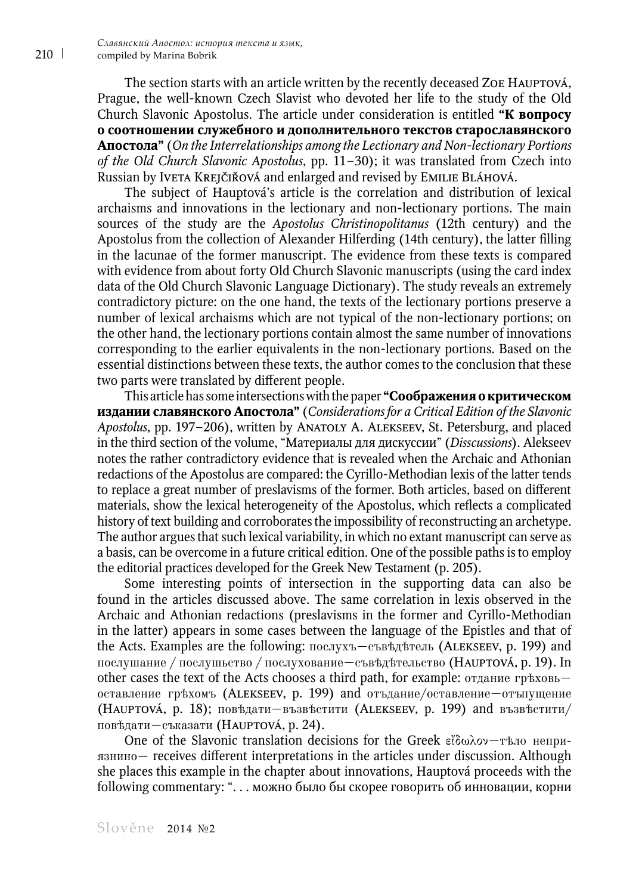The section starts with an article written by the recently deceased ZOE HAUPTOVÁ, Prague, the well-known Czech Slavist who devoted her life to the study of the Old Church Slavonic Apostolus. The article under consideration is entitled **"К вопросу о соотношении служебного и дополнительного текстов старославянского Апо стола"** (*On the Interrelationships among the Lectionary and Non-lectionary Portions of the Old Church Slavonic Apostolus*, pp. 11–30); it was translated from Czech into Russian by IVETA KREJČIŘOVÁ and enlarged and revised by EMILIE BLÁHOVÁ.

The subject of Hauptová's article is the correlation and distribution of lexical archaisms and innovations in the lectionary and non-lectionary portions. The main sources of the study are the *Apostolus Christinopolitanus* (12th century) and the Apostolus from the collection of Alexander Hilferding (14th century), the latter filling in the lacunae of the former manuscript. The evidence from these texts is compared with evidence from about forty Old Church Slavonic manuscripts (using the card index data of the Old Church Slavonic Language Dictionary). The study reveals an extremely contradictory picture: on the one hand, the texts of the lectionary portions preserve a number of lexical archaisms which are not typical of the non-lectionary portions; on the other hand, the lectionary portions contain almost the same number of innovations corresponding to the earlier equivalents in the non-lectionary portions. Based on the essential distinctions between these texts, the author comes to the conclusion that these two parts were translated by different people.

This article has some intersections with the paper **"Соображения о критическом издании славянского Апостола"** (*Considerations for a Critical Edition of the Slavonic*  Apostolus, pp. 197–206), written by ANATOLY A. ALEKSEEV, St. Petersburg, and placed in the third section of the volume, "Материалы для дискуссии" (*Disscussions*). Alekseev notes the rather contradictory evidence that is revealed when the Archaic and Athonian redactions of the Apostolus are compared: the Cyrillo-Methodian lexis of the latter tends to replace a great number of preslavisms of the former. Both articles, based on different materials, show the lexical heterogeneity of the Apostolus, which reflects a complicated history of text building and corroborates the impossibility of reconstructing an archetype. The author argues that such lexical variability, in which no extant manuscript can serve as a basis, can be overcome in a future critical edition. One of the possible paths is to employ the editorial practices developed for the Greek New Testament (p. 205).

Some interesting points of intersection in the supporting data can also be found in the articles discussed above. The same correlation in lexis observed in the Archaic and Athonian redactions (preslavisms in the former and Cyrillo-Methodian in the latter) appears in some cases between the language of the Epistles and that of the Acts. Examples are the following: послухъ-съвъдътель (ALEKSEEV, p. 199) and послушание / послушьство / послухование - съвъдътельство (НАUPTOVÁ, р. 19). In other cases the text of the Acts chooses a third path, for example: отдание грѣховь оставление гръхомъ (ALEKSEEV, p. 199) and отъдание/оставление-отъпущение (HAUPTOVÁ, p. 18); повъдати-възвъстити (ALEKSEEV, p. 199) and възвъстити/ повъдати – съказати (НА иртоvá, р. 24).

One of the Slavonic translation decisions for the Greek εἴδωλον—тѣло неприязнино— receives different interpretations in the articles under discussion. Although she places this example in the chapter about innovations, Hauptová proceeds with the following commentary: ". . . можно было бы скорее говорить об инновации, корни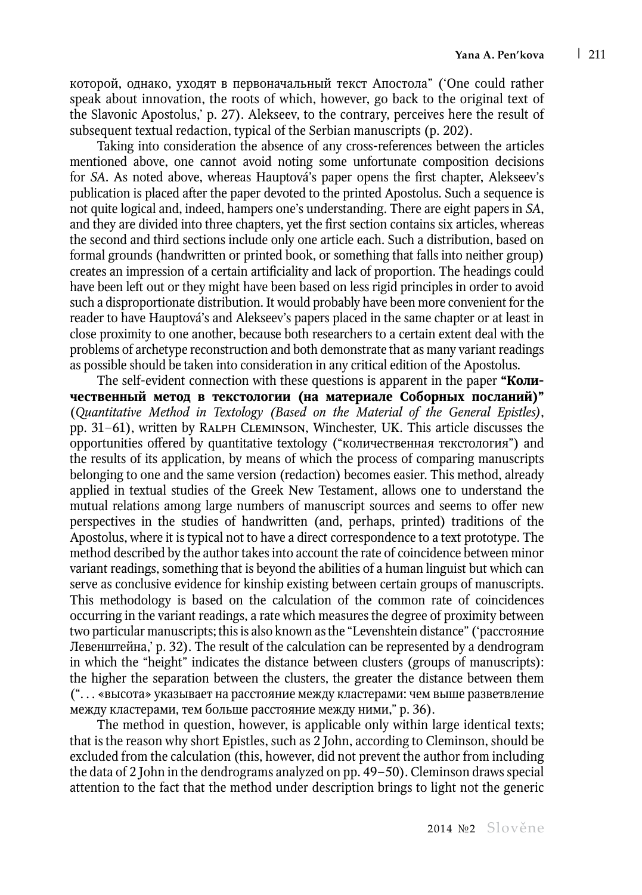которой, однако, уходят в первоначальный текст Апостола" ('One could rather speak about innovation, the roots of which, however, go back to the original text of the Slavonic Apostolus,' p. 27). Alekseev, to the contrary, perceives here the result of subsequent textual redaction, typical of the Serbian manuscripts (p. 202).

Taking into consideration the absence of any cross-references between the articles mentioned above, one cannot avoid noting some unfortunate composition decisions for *SA*. As noted above, whereas Hauptová's paper opens the first chapter, Alekseev's publication is placed after the paper devoted to the printed Apostolus. Such a sequence is not quite logical and, indeed, hampers one's understanding. There are eight papers in *SA*, and they are divided into three chapters, yet the first section contains six articles, whereas the second and third sections include only one article each. Such a distribution, based on formal grounds (handwritten or printed book, or something that falls into neither group) creates an impression of a certain artificiality and lack of proportion. The headings could have been left out or they might have been based on less rigid principles in order to avoid such a disproportionate distribution. It would probably have been more convenient for the reader to have Hauptová's and Alekseev's papers placed in the same chapter or at least in close proximity to one another, because both researchers to a certain extent deal with the problems of archetype reconstruction and both demonstrate that as many variant readings as possible should be taken into consideration in any critical edition of the Apostolus.

The self-evident connection with these questions is apparent in the paper **"Количе ственный метод в текстологии (на материале Соборных посланий)"** (*Quantitative Method in Textology (Based on the Material of the General Epistles)*, pp. 31–61), written by RALPH CLEMINSON, Winchester, UK. This article discusses the opportunities off ered by quantitative textology ("количественная текстология") and the results of its application, by means of which the process of comparing manuscripts belonging to one and the same version (redaction) becomes easier. This method, already applied in textual studies of the Greek New Testament, allows one to understand the mutual relations among large numbers of manuscript sources and seems to offer new perspectives in the studies of handwritten (and, perhaps, printed) traditions of the Apostolus, where it is typical not to have a direct correspondence to a text prototype. The method described by the author takes into account the rate of coincidence between minor variant readings, something that is beyond the abilities of a human linguist but which can serve as conclusive evidence for kinship existing between certain groups of manuscripts. This methodology is based on the calculation of the common rate of coincidences occurring in the variant readings, a rate which measures the degree of proximity between two particular manuscripts; this is also known as the "Levenshtein distance" ('расстояние Левенштейна,' p. 32). The result of the calculation can be represented by a dendrogram in which the "height" indicates the distance between clusters (groups of manuscripts): the higher the separation between the clusters, the greater the distance between them (". . . «высота» указывает на расстояние между кластерами: чем выше разветвление между кластерами, тем больше расстояние между ними," p. 36).

The method in question, however, is applicable only within large identical texts; that is the reason why short Epistles, such as 2 John, according to Cleminson, should be excluded from the calculation (this, however, did not prevent the author from including the data of 2 John in the dendrograms analyzed on pp. 49–50). Cleminson draws special attention to the fact that the method under description brings to light not the generic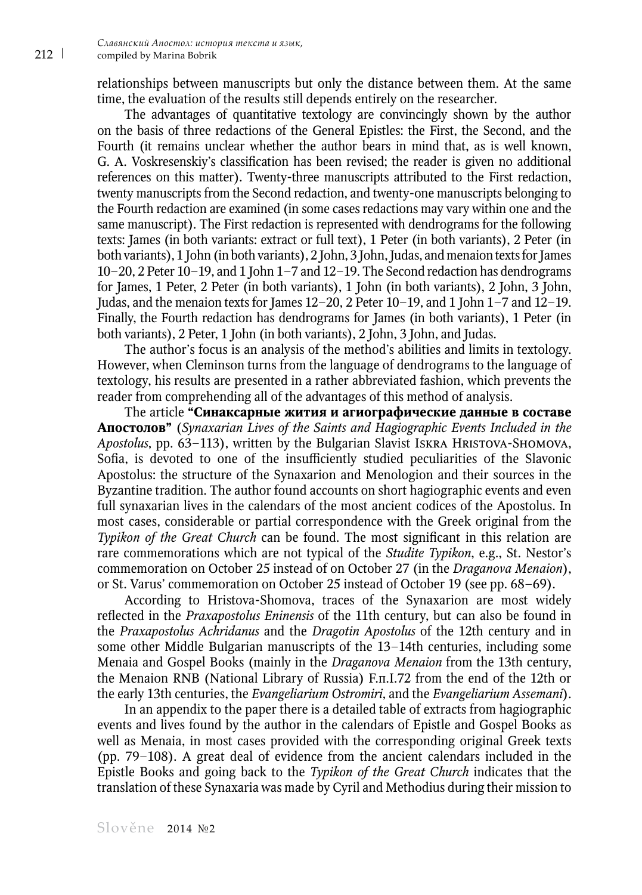relationships between manuscripts but only the distance between them. At the same time, the evaluation of the results still depends entirely on the researcher.

The advantages of quantitative textology are convincingly shown by the author on the basis of three redactions of the General Epistles: the First, the Second, and the Fourth (it remains unclear whether the author bears in mind that, as is well known, G. A. Voskresenskiy's classification has been revised; the reader is given no additional references on this matter). Twenty-three manuscripts attributed to the First redaction, twenty manuscripts from the Second redaction, and twenty-one manuscripts belonging to the Fourth redaction are examined (in some cases redactions may vary within one and the same manuscript). The First redaction is represented with dendrograms for the following texts: James (in both variants: extract or full text), 1 Peter (in both variants), 2 Peter (in both variants), 1 John (in both variants), 2 John, 3 John, Judas, and menaion texts for James 10–20, 2 Peter 10–19, and 1 John 1–7 and 12–19. The Second redaction has dendrograms for James, 1 Peter, 2 Peter (in both variants), 1 John (in both variants), 2 John, 3 John, Judas, and the menaion texts for James 12–20, 2 Peter 10–19, and 1 John 1–7 and 12–19. Finally, the Fourth redaction has dendrograms for James (in both variants), 1 Peter (in both variants), 2 Peter, 1 John (in both variants), 2 John, 3 John, and Judas.

The author's focus is an analysis of the method's abilities and limits in textology. However, when Cleminson turns from the language of dendrograms to the language of textology, his results are presented in a rather abbreviated fashion, which prevents the reader from comprehending all of the advantages of this method of analysis.

The article **"Синаксарные жития и агиографические данные в составе Апо столов"** (*Synaxarian Lives of the Saints and Hagiographic Events Included in the*  Apostolus, pp. 63-113), written by the Bulgarian Slavist ISKRA HRISTOVA-SHOMOVA, Sofia, is devoted to one of the insufficiently studied peculiarities of the Slavonic Apostolus: the structure of the Synaxarion and Menologion and their sources in the Byzantine tradition. The author found accounts on short hagiographic events and even full synaxarian lives in the calendars of the most ancient codices of the Apostolus. In most cases, considerable or partial correspondence with the Greek original from the *Typikon of the Great Church* can be found. The most significant in this relation are rare commemorations which are not typical of the *Studite Typikon*, e.g., St. Nestor's commemoration on October 25 instead of on October 27 (in the *Draganova Menaion*), or St. Varus' commemoration on October 25 instead of October 19 (see pp. 68–69).

According to Hristova-Shomova, traces of the Synaxarion are most widely reflected in the *Praxapostolus Eninensis* of the 11th century, but can also be found in the *Praxapostolus Achridanus* and the *Dragotin Apostolus* of the 12th century and in some other Middle Bulgarian manuscripts of the 13–14th centuries, including some Menaia and Gospel Books (mainly in the *Draganova Menaion* from the 13th century, the Menaion RNB (National Library of Russia) F.п.I.72 from the end of the 12th or the early 13th centuries, the *Evangeliarium Ostromiri*, and the *Evangeliarium Assemani*).

In an appendix to the paper there is a detailed table of extracts from hagiographic events and lives found by the author in the calendars of Epistle and Gospel Books as well as Menaia, in most cases provided with the corresponding original Greek texts (pp. 79–108). A great deal of evidence from the ancient calendars included in the Epistle Books and going back to the *Typikon of the Great Church* indicates that the translation of these Synaxaria was made by Cyril and Methodius during their mission to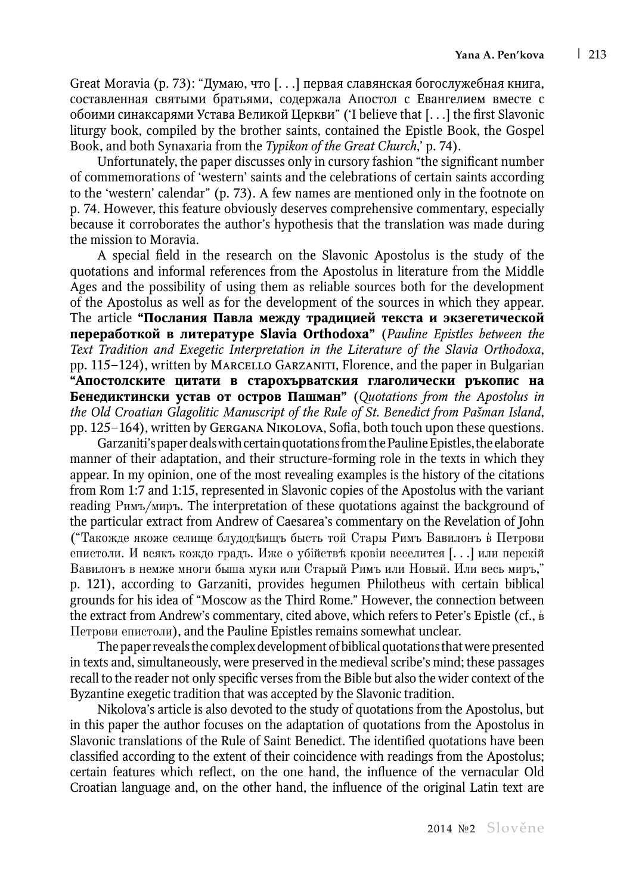Great Moravia (p. 73): "Думаю, что [. . .] первая славянская богослужебная книга, составленная святыми братьями, содержала Апостол с Евангелием вместе с обоими синаксарями Устава Великой Церкви" ('I believe that  $[...]$  the first Slavonic liturgy book, compiled by the brother saints, contained the Epistle Book, the Gospel Book, and both Synaxaria from the *Typikon of the Great Church*,' p. 74).

Unfortunately, the paper discusses only in cursory fashion "the significant number of commemorations of 'western' saints and the celebrations of certain saints according to the 'western' calendar" (p. 73). A few names are mentioned only in the footnote on p. 74. However, this feature obviously deserves comprehensive commentary, especially because it corroborates the author's hypothesis that the translation was made during the mission to Moravia.

A special field in the research on the Slavonic Apostolus is the study of the quotations and informal references from the Apostolus in literature from the Middle Ages and the possibility of using them as reliable sources both for the development of the Apostolus as well as for the development of the sources in which they appear. The article **"Послания Павла между традицией текста и экзегетической пе ре ра бот кой в литературе Slavia Orthodoxa"** (*Pauline Epistles between the Text Tradition and Exegetic Interpretation in the Literature of the Slavia Orthodoxa*, pp. 115–124), written by MARCELLO GARZANITI, Florence, and the paper in Bulgarian **"Апостолските цитати в старохърватския глаголически ръкопис на Бенедиктински устав от остров Пашман"** (*Quotations from the Apostolus in the Old Croatian Glagolitic Manuscript of the Rule of St. Benedict from Pašman Island*, pp. 125–164), written by GERGANA NIKOLOVA, Sofia, both touch upon these questions.

Garzaniti's paper deals with certain quotations from the Pauline Epistles, the elaborate manner of their adaptation, and their structure-forming role in the texts in which they appear. In my opinion, one of the most revealing examples is the history of the citations from Rom 1:7 and 1:15, represented in Slavonic copies of the Apostolus with the variant reading Римъ/миръ. The interpretation of these quotations against the background of the particular extract from Andrew of Caesarea's commentary on the Revelation of John ("Такожде якоже селище блудодънщъ бысть той Стары Римъ Вавилонъ в Петрови епистоли. И всякъ кождо градъ. Иже о убійствѣ кровіи веселится [. . .] или перскій Вавилонъ в немже многи быша муки или Старый Римъ или Новый. Или весь миръ," p. 121), according to Garzaniti, provides hegumen Philotheus with certain biblical grounds for his idea of "Moscow as the Third Rome." However, the connection between the extract from Andrew's commentary, cited above, which refers to Peter's Epistle (cf.,  $\dot{\mathbf{b}}$ Петрови епистоли), and the Pauline Epistles remains somewhat unclear.

The paper reveals the complex development of biblical quotations that were presented in texts and, simultaneously, were preserved in the medieval scribe's mind; these passages recall to the reader not only specific verses from the Bible but also the wider context of the Byzantine exegetic tradition that was accepted by the Slavonic tradition.

Nikolova's article is also devoted to the study of quotations from the Apostolus, but in this paper the author focuses on the adaptation of quotations from the Apostolus in Slavonic translations of the Rule of Saint Benedict. The identified quotations have been classified according to the extent of their coincidence with readings from the Apostolus; certain features which reflect, on the one hand, the influence of the vernacular Old Croatian language and, on the other hand, the influence of the original Latin text are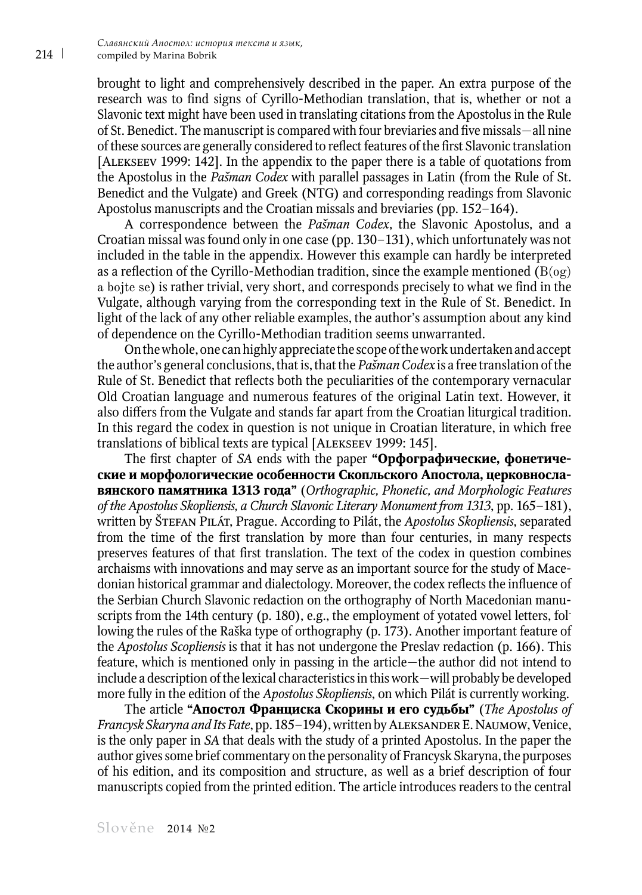brought to light and comprehensively described in the paper. An extra purpose of the research was to find signs of Cyrillo-Methodian translation, that is, whether or not a Slavonic text might have been used in translating citations from the Apostolus in the Rule of St. Benedict. The manuscript is compared with four breviaries and five missals—all nine of these sources are generally considered to reflect features of the first Slavonic translation [ALEKSEEV 1999: 142]. In the appendix to the paper there is a table of quotations from the Apostolus in the *Pašman Codex* with parallel passages in Latin (from the Rule of St. Benedict and the Vulgate) and Greek (NTG) and corresponding readings from Slavonic Apostolus manuscripts and the Croatian missals and breviaries (pp. 152–164).

A correspondence between the *Pašman Codex*, the Slavonic Apostolus, and a Croatian missal was found only in one case (pp. 130–131), which unfortunately was not included in the table in the appendix. However this example can hardly be interpreted as a reflection of the Cyrillo-Methodian tradition, since the example mentioned ( $B(og)$ ) a bojte se) is rather trivial, very short, and corresponds precisely to what we find in the Vulgate, although varying from the corresponding text in the Rule of St. Benedict. In light of the lack of any other reliable examples, the author's assumption about any kind of dependence on the Cyrillo-Methodian tradition seems unwarranted.

On the whole, one can highly appreciate the scope of the work undertaken and accept the author's general conclusions, that is, that the *Pašman Codex* is a free translation of the Rule of St. Benedict that reflects both the peculiarities of the contemporary vernacular Old Croatian language and numerous features of the original Latin text. However, it also differs from the Vulgate and stands far apart from the Croatian liturgical tradition. In this regard the codex in question is not unique in Croatian literature, in which free translations of biblical texts are typical [ALEKSEEV 1999: 145].

The first chapter of SA ends with the paper "Орфографические, фонетические и морфологические особенности Скопльского Апостола, церковносла**вянского памятника 1313 года"** (*Orthographic, Phonetic, and Morphologic Features of the Apostolus Skopliensis, a Church Slavonic Literary Monument from 1313*, pp. 165–181), written by ŠTEFAN PILÁT, Prague. According to Pilát, the *Apostolus Skopliensis*, separated from the time of the first translation by more than four centuries, in many respects preserves features of that first translation. The text of the codex in question combines archaisms with innovations and may serve as an important source for the study of Macedonian historical grammar and dialectology. Moreover, the codex reflects the influence of the Serbian Church Slavonic redaction on the orthography of North Macedonian manuscripts from the 14th century (p. 180), e.g., the employment of yotated vowel letters, following the rules of the Raška type of orthography (p. 173). Another important feature of the *Apostolus Scopliensis* is that it has not undergone the Preslav redaction (p. 166). This feature, which is mentioned only in passing in the article—the author did not intend to include a description of the lexical characteristics in this work—will probably be developed more fully in the edition of the *Apostolus Skopliensis*, on which Pilát is currently working.

The article **"Апостол Франциска Скорины и его судьбы"** (*The Apostolus of*  Francysk Skaryna and Its Fate, pp. 185-194), written by ALEKSANDER E. NAUMOW, Venice, is the only paper in *SA* that deals with the study of a printed Apostolus. In the paper the author gives some brief commentary on the personality of Francysk Skaryna, the purposes of his edition, and its composition and structure, as well as a brief description of four manuscripts copied from the printed edition. The article introduces readers to the central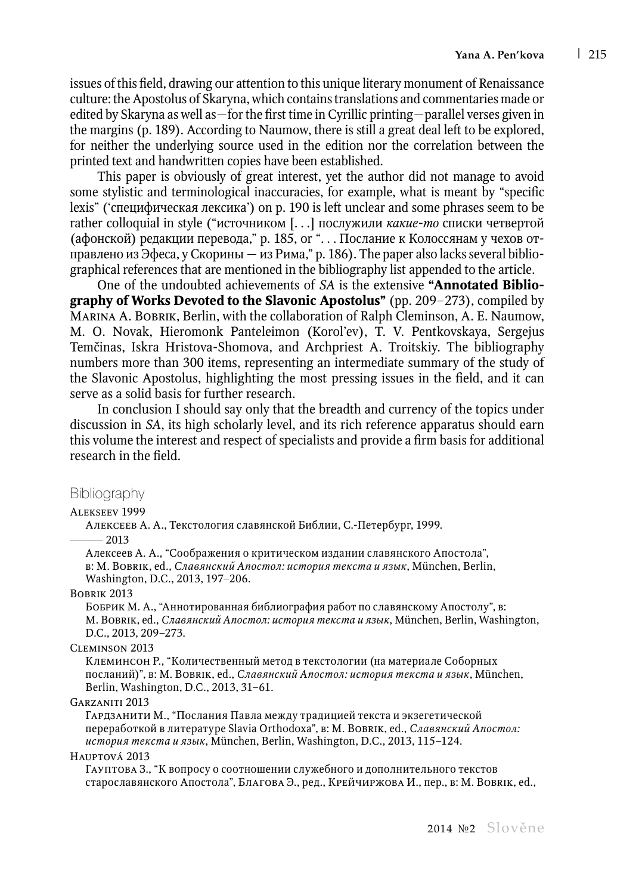issues of this field, drawing our attention to this unique literary monument of Renaissance culture: the Apostolus of Skaryna, which contains translations and commentaries made or edited by Skaryna as well as—for the first time in Cyrillic printing—parallel verses given in the margins (p. 189). According to Naumow, there is still a great deal left to be explored, for neither the underlying source used in the edition nor the correlation between the printed text and handwritten copies have been established.

This paper is obviously of great interest, yet the author did not manage to avoid some stylistic and terminological inaccuracies, for example, what is meant by "specific lexis" ('специфическая лексика') on p. 190 is left unclear and some phrases seem to be rather colloquial in style ("источником [. . .] послужили *какие-то* списки четвертой (афонской) редакции перевода," р. 185, ог "... . Послание к Колоссянам у чехов отправлено из Эфеса, у Скорины — из Рима," р. 186). The paper also lacks several bibliographical references that are mentioned in the bibliography list appended to the article.

One of the undoubted achievements of *SA* is the extensive **"Annotated Bibliography of Works Devoted to the Slavonic Apostolus"** (pp. 209–273), compiled by MARINA A. BOBRIK, Berlin, with the collaboration of Ralph Cleminson, A. E. Naumow, M. O. Novak, Hieromonk Panteleimon (Korol'ev), T. V. Pentkovskaya, Sergejus Temčinas, Iskra Hristova-Shomova, and Archpriest A. Troitskiy. The bibliography numbers more than 300 items, representing an intermediate summary of the study of the Slavonic Apostolus, highlighting the most pressing issues in the field, and it can serve as a solid basis for further research.

In conclusion I should say only that the breadth and currency of the topics under discussion in *SA*, its high scholarly level, and its rich reference apparatus should earn this volume the interest and respect of specialists and provide a firm basis for additional research in the field

## **Bibliography**

ALEKSEEV 1999

Алексеев А. А., Текстология славянской Библии, С.-Петербург, 1999.

## $\frac{1}{2013}$

Алексеев А. А., "Соображения о критическом издании славянского Апостола", в: М. B, ed., *Славянский Апостол: история текста и язык*, München, Berlin, Washington, D.C., 2013, 197–206.

### **BOBRIK 2013**

Бобрик М. А., "Аннотированная библиография работ по славянскому Апостолу", в: М. B, ed., *Славянский Апостол: история текста и язык*, München, Berlin, Washington, D.C., 2013, 209–273.

#### CLEMINSON 2013

Клеминсон Р., "Количественный метод в текстологии (на материале Соборных посланий)", в: М. Вовкик, ed., *Славянский Апостол: история текста и язык*, München, Berlin, Washington, D.C., 2013, 31–61.

### GARZANITI 2013

Гардзанити М., "Послания Павла между традицией текста и экзегетической переработкой в литературе Slavia Orthodoxa", в: М. Вовкик, ed., *Славянский Апостол: история текста и язык*, München, Berlin, Washington, D.C., 2013, 115–124.

### HAUPTOVÁ 2013

Гауптова З., "К вопросу о соотношении служебного и дополнительного текстов старославянского Апостола", Благова Э., ред., Крейчиржова И., пер., в: М. Вовкік, ed.,